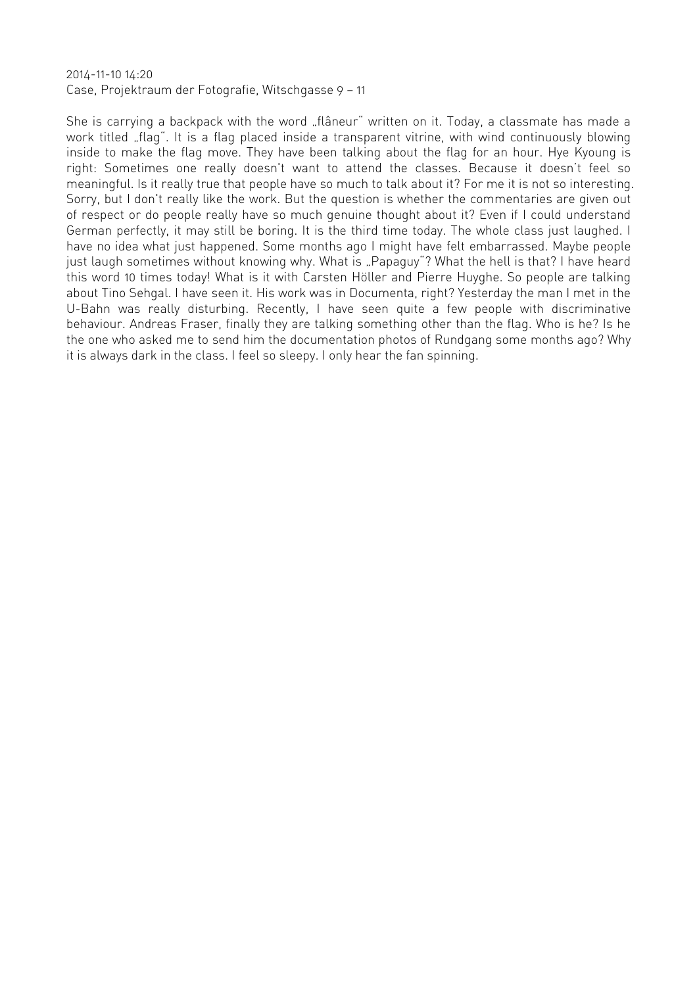2014-11-10 14:20 Case, Projektraum der Fotografie, Witschgasse 9 — 11

She is carrying a backpack with the word "flâneur" written on it. Today, a classmate has made a work titled "flag". It is a flag placed inside a transparent vitrine, with wind continuously blowing inside to make the flag move. They have been talking about the flag for an hour. Hye Kyoung is right: Sometimes one really doesn't want to attend the classes. Because it doesn't feel so meaningful. Is it really true that people have so much to talk about it? For me it is not so interesting. Sorry, but I don't really like the work. But the question is whether the commentaries are given out of respect or do people really have so much genuine thought about it? Even if I could understand German perfectly, it may still be boring. It is the third time today. The whole class just laughed. I have no idea what just happened. Some months ago I might have felt embarrassed. Maybe people just laugh sometimes without knowing why. What is "Papaguy"? What the hell is that? I have heard this word 10 times today! What is it with Carsten Höller and Pierre Huyghe. So people are talking about Tino Sehgal. I have seen it. His work was in Documenta, right? Yesterday the man I met in the U-Bahn was really disturbing. Recently, I have seen quite a few people with discriminative behaviour. Andreas Fraser, finally they are talking something other than the flag. Who is he? Is he the one who asked me to send him the documentation photos of Rundgang some months ago? Why it is always dark in the class. I feel so sleepy. I only hear the fan spinning.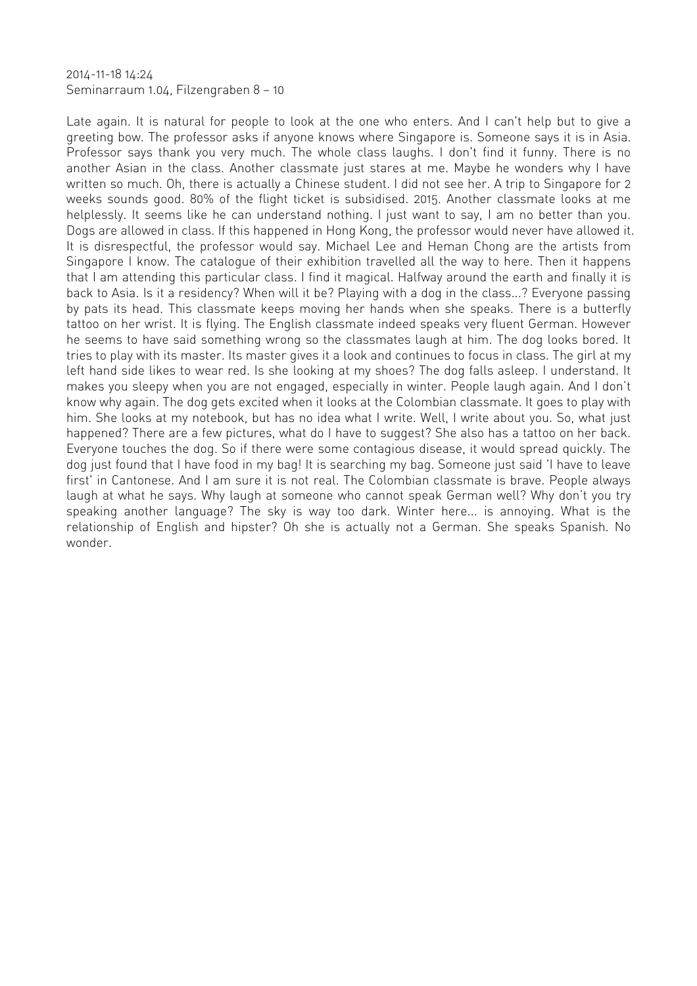2014-11-18 14:24 Seminarraum 1.04, Filzengraben 8 — 10

Late again. It is natural for people to look at the one who enters. And I can't help but to give a greeting bow. The professor asks if anyone knows where Singapore is. Someone says it is in Asia. Professor says thank you very much. The whole class laughs. I don't find it funny. There is no another Asian in the class. Another classmate just stares at me. Maybe he wonders why I have written so much. Oh, there is actually a Chinese student. I did not see her. A trip to Singapore for 2 weeks sounds good. 80% of the flight ticket is subsidised. 2015. Another classmate looks at me helplessly. It seems like he can understand nothing. I just want to say, I am no better than you. Dogs are allowed in class. If this happened in Hong Kong, the professor would never have allowed it. It is disrespectful, the professor would say. Michael Lee and Heman Chong are the artists from Singapore I know. The catalogue of their exhibition travelled all the way to here. Then it happens that I am attending this particular class. I find it magical. Halfway around the earth and finally it is back to Asia. Is it a residency? When will it be? Playing with a dog in the class...? Everyone passing by pats its head. This classmate keeps moving her hands when she speaks. There is a butterfly tattoo on her wrist. It is flying. The English classmate indeed speaks very fluent German. However he seems to have said something wrong so the classmates laugh at him. The dog looks bored. It tries to play with its master. Its master gives it a look and continues to focus in class. The girl at my left hand side likes to wear red. Is she looking at my shoes? The dog falls asleep. I understand. It makes you sleepy when you are not engaged, especially in winter. People laugh again. And I don't know why again. The dog gets excited when it looks at the Colombian classmate. It goes to play with him. She looks at my notebook, but has no idea what I write. Well, I write about you. So, what just happened? There are a few pictures, what do I have to suggest? She also has a tattoo on her back. Everyone touches the dog. So if there were some contagious disease, it would spread quickly. The dog just found that I have food in my bag! It is searching my bag. Someone just said 'I have to leave first' in Cantonese. And I am sure it is not real. The Colombian classmate is brave. People always laugh at what he says. Why laugh at someone who cannot speak German well? Why don't you try speaking another language? The sky is way too dark. Winter here... is annoying. What is the relationship of English and hipster? Oh she is actually not a German. She speaks Spanish. No wonder.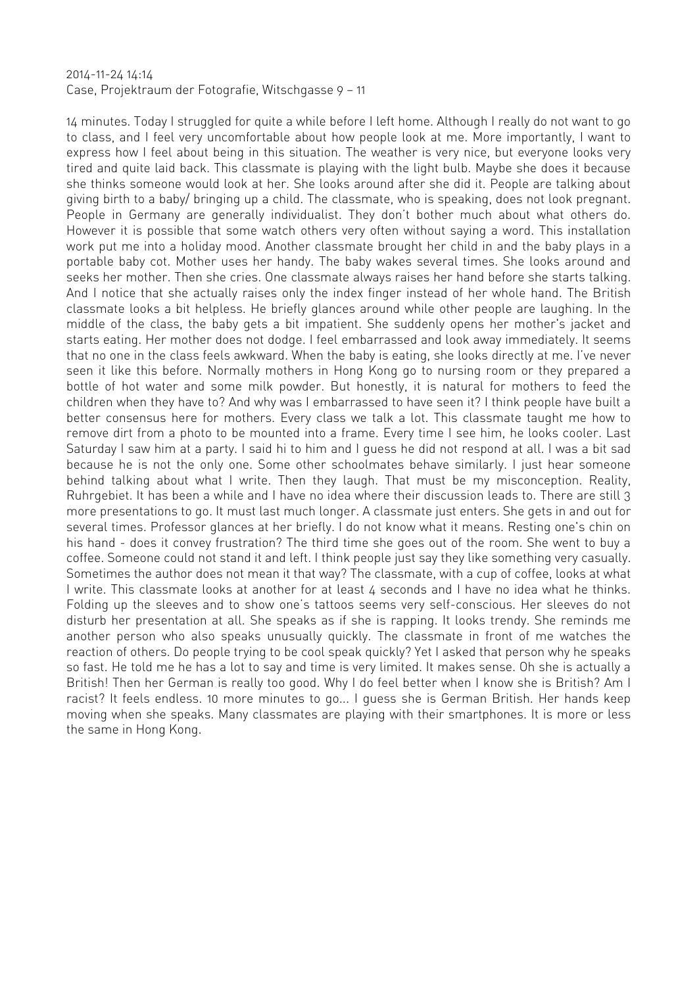#### 2014-11-24 14:14 Case, Projektraum der Fotografie, Witschgasse 9 — 11

14 minutes. Today I struggled for quite a while before I left home. Although I really do not want to go to class, and I feel very uncomfortable about how people look at me. More importantly, I want to express how I feel about being in this situation. The weather is very nice, but everyone looks very tired and quite laid back. This classmate is playing with the light bulb. Maybe she does it because she thinks someone would look at her. She looks around after she did it. People are talking about giving birth to a baby/ bringing up a child. The classmate, who is speaking, does not look pregnant. People in Germany are generally individualist. They don't bother much about what others do. However it is possible that some watch others very often without saying a word. This installation work put me into a holiday mood. Another classmate brought her child in and the baby plays in a portable baby cot. Mother uses her handy. The baby wakes several times. She looks around and seeks her mother. Then she cries. One classmate always raises her hand before she starts talking. And I notice that she actually raises only the index finger instead of her whole hand. The British classmate looks a bit helpless. He briefly glances around while other people are laughing. In the middle of the class, the baby gets a bit impatient. She suddenly opens her mother's jacket and starts eating. Her mother does not dodge. I feel embarrassed and look away immediately. It seems that no one in the class feels awkward. When the baby is eating, she looks directly at me. I've never seen it like this before. Normally mothers in Hong Kong go to nursing room or they prepared a bottle of hot water and some milk powder. But honestly, it is natural for mothers to feed the children when they have to? And why was I embarrassed to have seen it? I think people have built a better consensus here for mothers. Every class we talk a lot. This classmate taught me how to remove dirt from a photo to be mounted into a frame. Every time I see him, he looks cooler. Last Saturday I saw him at a party. I said hi to him and I guess he did not respond at all. I was a bit sad because he is not the only one. Some other schoolmates behave similarly. I just hear someone behind talking about what I write. Then they laugh. That must be my misconception. Reality, Ruhrgebiet. It has been a while and I have no idea where their discussion leads to. There are still 3 more presentations to go. It must last much longer. A classmate just enters. She gets in and out for several times. Professor glances at her briefly. I do not know what it means. Resting one's chin on his hand - does it convey frustration? The third time she goes out of the room. She went to buy a coffee. Someone could not stand it and left. I think people just say they like something very casually. Sometimes the author does not mean it that way? The classmate, with a cup of coffee, looks at what I write. This classmate looks at another for at least 4 seconds and I have no idea what he thinks. Folding up the sleeves and to show one's tattoos seems very self-conscious. Her sleeves do not disturb her presentation at all. She speaks as if she is rapping. It looks trendy. She reminds me another person who also speaks unusually quickly. The classmate in front of me watches the reaction of others. Do people trying to be cool speak quickly? Yet I asked that person why he speaks so fast. He told me he has a lot to say and time is very limited. It makes sense. Oh she is actually a British! Then her German is really too good. Why I do feel better when I know she is British? Am I racist? It feels endless. 10 more minutes to go... I guess she is German British. Her hands keep moving when she speaks. Many classmates are playing with their smartphones. It is more or less the same in Hong Kong.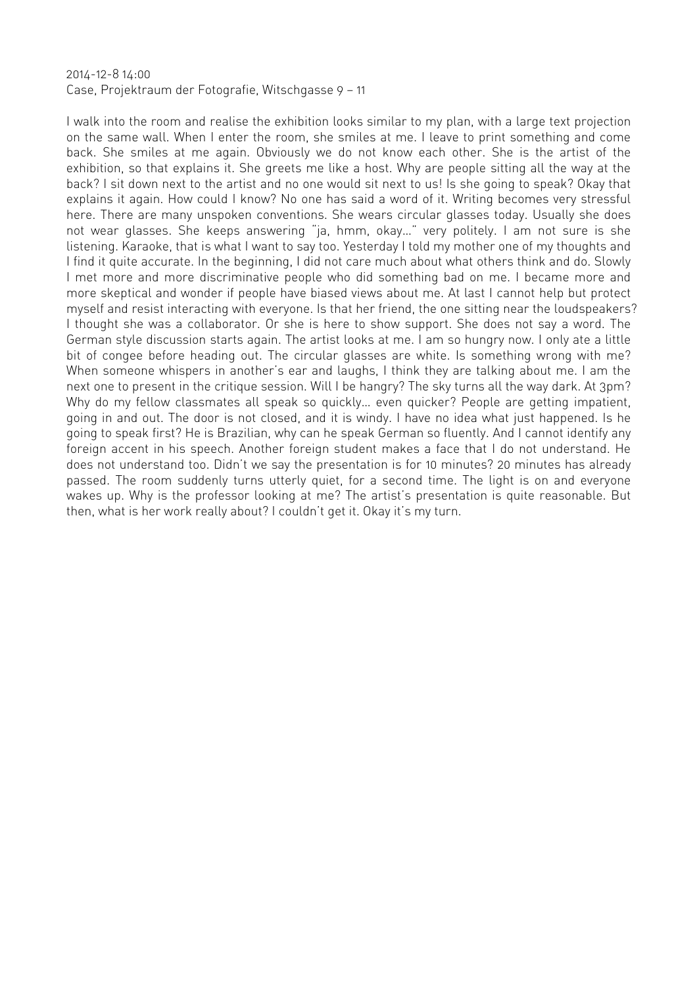# 2014-12-8 14:00 Case, Projektraum der Fotografie, Witschgasse 9 — 11

I walk into the room and realise the exhibition looks similar to my plan, with a large text projection on the same wall. When I enter the room, she smiles at me. I leave to print something and come back. She smiles at me again. Obviously we do not know each other. She is the artist of the exhibition, so that explains it. She greets me like a host. Why are people sitting all the way at the back? I sit down next to the artist and no one would sit next to us! Is she going to speak? Okay that explains it again. How could I know? No one has said a word of it. Writing becomes very stressful here. There are many unspoken conventions. She wears circular glasses today. Usually she does not wear glasses. She keeps answering "ja, hmm, okay…" very politely. I am not sure is she listening. Karaoke, that is what I want to say too. Yesterday I told my mother one of my thoughts and I find it quite accurate. In the beginning, I did not care much about what others think and do. Slowly I met more and more discriminative people who did something bad on me. I became more and more skeptical and wonder if people have biased views about me. At last I cannot help but protect myself and resist interacting with everyone. Is that her friend, the one sitting near the loudspeakers? I thought she was a collaborator. Or she is here to show support. She does not say a word. The German style discussion starts again. The artist looks at me. I am so hungry now. I only ate a little bit of congee before heading out. The circular glasses are white. Is something wrong with me? When someone whispers in another's ear and laughs, I think they are talking about me. I am the next one to present in the critique session. Will I be hangry? The sky turns all the way dark. At 3pm? Why do my fellow classmates all speak so quickly… even quicker? People are getting impatient, going in and out. The door is not closed, and it is windy. I have no idea what just happened. Is he going to speak first? He is Brazilian, why can he speak German so fluently. And I cannot identify any foreign accent in his speech. Another foreign student makes a face that I do not understand. He does not understand too. Didn't we say the presentation is for 10 minutes? 20 minutes has already passed. The room suddenly turns utterly quiet, for a second time. The light is on and everyone wakes up. Why is the professor looking at me? The artist's presentation is quite reasonable. But then, what is her work really about? I couldn't get it. Okay it's my turn.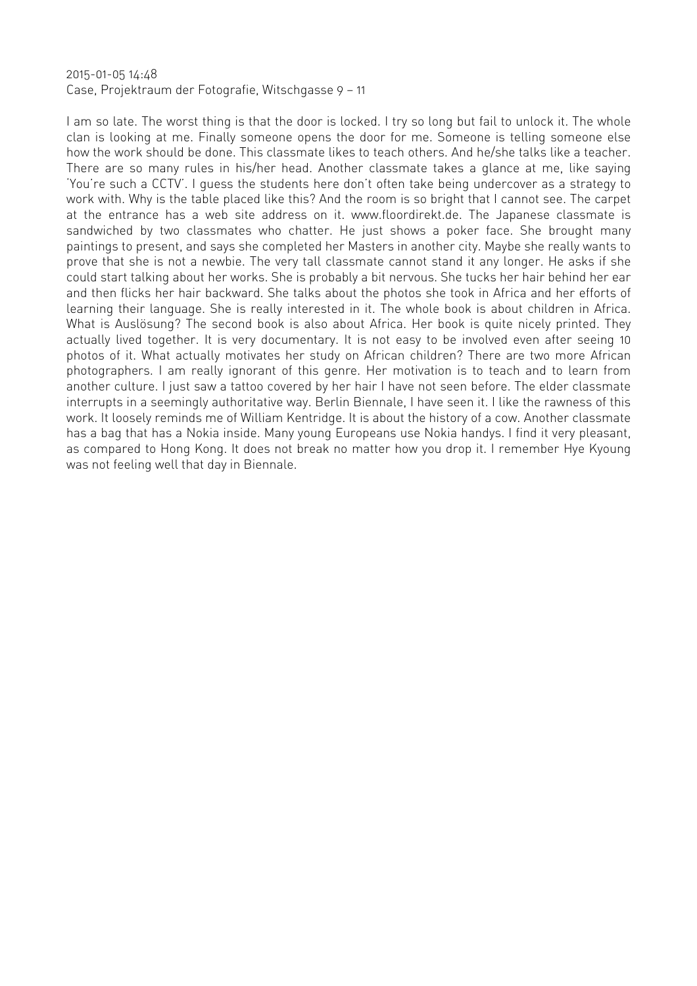# 2015-01-05 14:48 Case, Projektraum der Fotografie, Witschgasse 9 — 11

I am so late. The worst thing is that the door is locked. I try so long but fail to unlock it. The whole clan is looking at me. Finally someone opens the door for me. Someone is telling someone else how the work should be done. This classmate likes to teach others. And he/she talks like a teacher. There are so many rules in his/her head. Another classmate takes a glance at me, like saying 'You're such a CCTV'. I guess the students here don't often take being undercover as a strategy to work with. Why is the table placed like this? And the room is so bright that I cannot see. The carpet at the entrance has a web site address on it. www.floordirekt.de. The Japanese classmate is sandwiched by two classmates who chatter. He just shows a poker face. She brought many paintings to present, and says she completed her Masters in another city. Maybe she really wants to prove that she is not a newbie. The very tall classmate cannot stand it any longer. He asks if she could start talking about her works. She is probably a bit nervous. She tucks her hair behind her ear and then flicks her hair backward. She talks about the photos she took in Africa and her efforts of learning their language. She is really interested in it. The whole book is about children in Africa. What is Auslösung? The second book is also about Africa. Her book is quite nicely printed. They actually lived together. It is very documentary. It is not easy to be involved even after seeing 10 photos of it. What actually motivates her study on African children? There are two more African photographers. I am really ignorant of this genre. Her motivation is to teach and to learn from another culture. I just saw a tattoo covered by her hair I have not seen before. The elder classmate interrupts in a seemingly authoritative way. Berlin Biennale, I have seen it. I like the rawness of this work. It loosely reminds me of William Kentridge. It is about the history of a cow. Another classmate has a bag that has a Nokia inside. Many young Europeans use Nokia handys. I find it very pleasant, as compared to Hong Kong. It does not break no matter how you drop it. I remember Hye Kyoung was not feeling well that day in Biennale.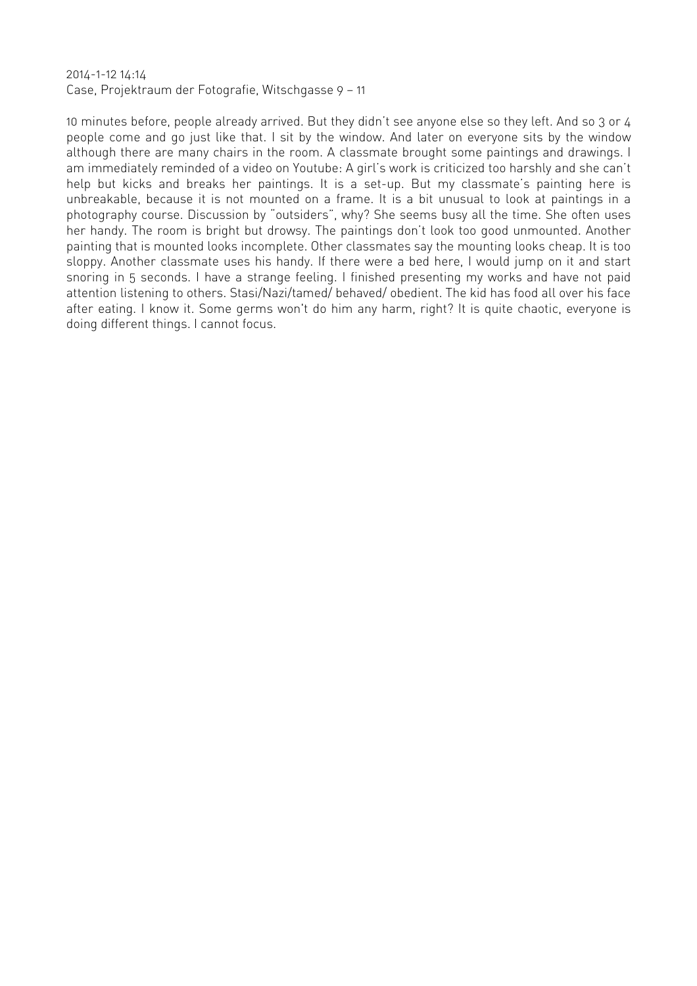# 2014-1-12 14:14 Case, Projektraum der Fotografie, Witschgasse 9 — 11

10 minutes before, people already arrived. But they didn't see anyone else so they left. And so 3 or 4 people come and go just like that. I sit by the window. And later on everyone sits by the window although there are many chairs in the room. A classmate brought some paintings and drawings. I am immediately reminded of a video on Youtube: A girl's work is criticized too harshly and she can't help but kicks and breaks her paintings. It is a set-up. But my classmate's painting here is unbreakable, because it is not mounted on a frame. It is a bit unusual to look at paintings in a photography course. Discussion by "outsiders", why? She seems busy all the time. She often uses her handy. The room is bright but drowsy. The paintings don't look too good unmounted. Another painting that is mounted looks incomplete. Other classmates say the mounting looks cheap. It is too sloppy. Another classmate uses his handy. If there were a bed here, I would jump on it and start snoring in 5 seconds. I have a strange feeling. I finished presenting my works and have not paid attention listening to others. Stasi/Nazi/tamed/ behaved/ obedient. The kid has food all over his face after eating. I know it. Some germs won't do him any harm, right? It is quite chaotic, everyone is doing different things. I cannot focus.